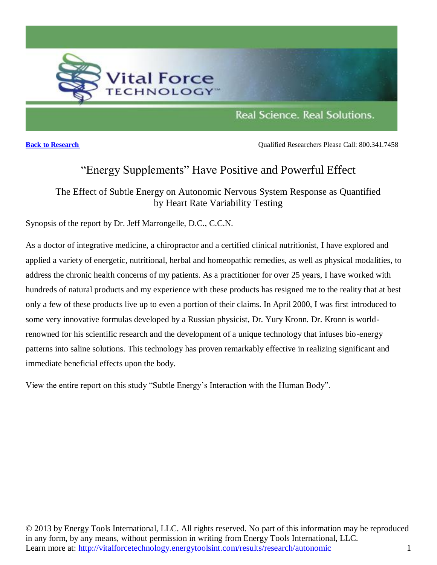

**[Back to Research](ttp://vitalforcetechnology.energytoolsint.com/results/research/autonomic) Back to Research Back to Researchers** Please Call: 800.341.7458

# "Energy Supplements" Have Positive and Powerful Effect

The Effect of Subtle Energy on Autonomic Nervous System Response as Quantified by Heart Rate Variability Testing

Synopsis of the report by Dr. Jeff Marrongelle, D.C., C.C.N.

As a doctor of integrative medicine, a chiropractor and a certified clinical nutritionist, I have explored and applied a variety of energetic, nutritional, herbal and homeopathic remedies, as well as physical modalities, to address the chronic health concerns of my patients. As a practitioner for over 25 years, I have worked with hundreds of natural products and my experience with these products has resigned me to the reality that at best only a few of these products live up to even a portion of their claims. In April 2000, I was first introduced to some very innovative formulas developed by a Russian physicist, Dr. Yury Kronn. Dr. Kronn is worldrenowned for his scientific research and the development of a unique technology that infuses bio-energy patterns into saline solutions. This technology has proven remarkably effective in realizing significant and immediate beneficial effects upon the body.

[View the entire report on this study "Subtle Energy's Interaction with the Human Body".](http://www.energytoolsint.com/wp-content/uploads/2011/09/Subtle-Energys-Interaction-with-the-Human-Body.pdf)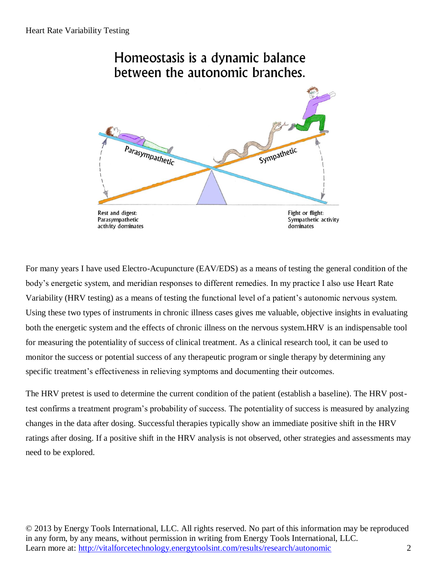# Homeostasis is a dynamic balance between the autonomic branches.



For many years I have used Electro-Acupuncture (EAV/EDS) as a means of testing the general condition of the body's energetic system, and meridian responses to different remedies. In my practice I also use Heart Rate Variability (HRV testing) as a means of testing the functional level of a patient's autonomic nervous system. Using these two types of instruments in chronic illness cases gives me valuable, objective insights in evaluating both the energetic system and the effects of chronic illness on the nervous system.HRV is an indispensable tool for measuring the potentiality of success of clinical treatment. As a clinical research tool, it can be used to monitor the success or potential success of any therapeutic program or single therapy by determining any specific treatment's effectiveness in relieving symptoms and documenting their outcomes.

The HRV pretest is used to determine the current condition of the patient (establish a baseline). The HRV posttest confirms a treatment program's probability of success. The potentiality of success is measured by analyzing changes in the data after dosing. Successful therapies typically show an immediate positive shift in the HRV ratings after dosing. If a positive shift in the HRV analysis is not observed, other strategies and assessments may need to be explored.

© 2013 by Energy Tools International, LLC. All rights reserved. No part of this information may be reproduced in any form, by any means, without permission in writing from Energy Tools International, LLC. Learn more at: http://vitalforcetechnology.energytoolsint.com/results/research/autonomic 2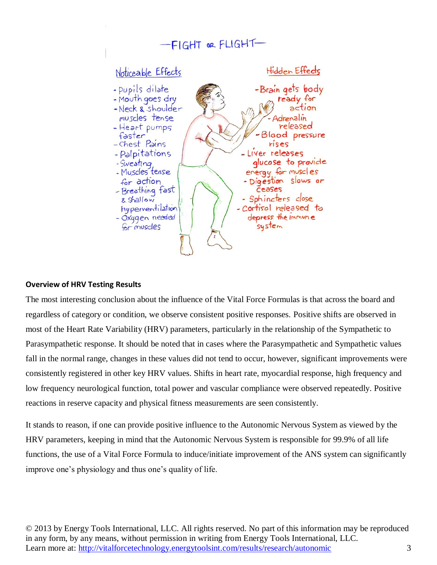

## **Overview of HRV Testing Results**

The most interesting conclusion about the influence of the Vital Force Formulas is that across the board and regardless of category or condition, we observe consistent positive responses. Positive shifts are observed in most of the Heart Rate Variability (HRV) parameters, particularly in the relationship of the Sympathetic to Parasympathetic response. It should be noted that in cases where the Parasympathetic and Sympathetic values fall in the normal range, changes in these values did not tend to occur, however, significant improvements were consistently registered in other key HRV values. Shifts in heart rate, myocardial response, high frequency and low frequency neurological function, total power and vascular compliance were observed repeatedly. Positive reactions in reserve capacity and physical fitness measurements are seen consistently.

It stands to reason, if one can provide positive influence to the Autonomic Nervous System as viewed by the HRV parameters, keeping in mind that the Autonomic Nervous System is responsible for 99.9% of all life functions, the use of a Vital Force Formula to induce/initiate improvement of the ANS system can significantly improve one's physiology and thus one's quality of life.

© 2013 by Energy Tools International, LLC. All rights reserved. No part of this information may be reproduced in any form, by any means, without permission in writing from Energy Tools International, LLC. Learn more at: http://vitalforcetechnology.energytoolsint.com/results/research/autonomic 3